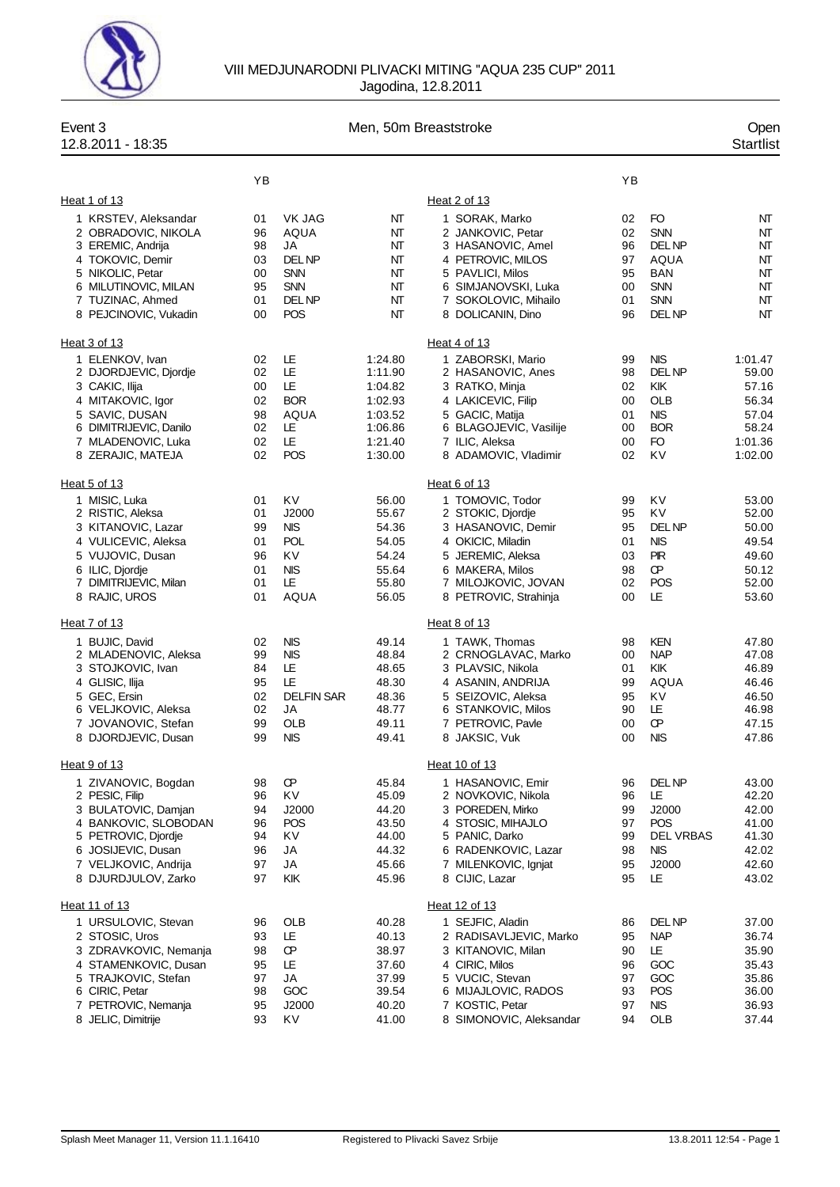

| Event 3<br>12.8.2011 - 18:35                                                                                                                                                     | Men, 50m Breaststroke                        |                                                                                      |                                                                                      |                                                                                                                                                                            |                                              |                                                                                              | Open<br><b>Startlist</b>                                                   |
|----------------------------------------------------------------------------------------------------------------------------------------------------------------------------------|----------------------------------------------|--------------------------------------------------------------------------------------|--------------------------------------------------------------------------------------|----------------------------------------------------------------------------------------------------------------------------------------------------------------------------|----------------------------------------------|----------------------------------------------------------------------------------------------|----------------------------------------------------------------------------|
|                                                                                                                                                                                  | YB                                           |                                                                                      |                                                                                      |                                                                                                                                                                            | YB                                           |                                                                                              |                                                                            |
| Heat 1 of 13                                                                                                                                                                     |                                              |                                                                                      |                                                                                      | Heat 2 of 13                                                                                                                                                               |                                              |                                                                                              |                                                                            |
| 1 KRSTEV, Aleksandar<br>2 OBRADOVIC, NIKOLA<br>3 EREMIC, Andrija<br>4 TOKOVIC, Demir<br>5 NIKOLIC, Petar<br>6 MILUTINOVIC, MILAN<br>7 TUZINAC, Ahmed<br>8 PEJCINOVIC, Vukadin    | 01<br>96<br>98<br>03<br>00<br>95<br>01<br>00 | VK JAG<br>AQUA<br>JA<br>DEL NP<br><b>SNN</b><br><b>SNN</b><br>DEL NP<br>POS          | NT<br>NΤ<br>NΤ<br>NT<br>NT<br>NT<br>NΤ<br>NT                                         | 1 SORAK, Marko<br>2 JANKOVIC, Petar<br>3 HASANOVIC, Amel<br>4 PETROVIC, MILOS<br>5 PAVLICI, Milos<br>6 SIMJANOVSKI, Luka<br>7 SOKOLOVIC, Mihailo<br>8 DOLICANIN, Dino      | 02<br>02<br>96<br>97<br>95<br>00<br>01<br>96 | FO<br><b>SNN</b><br>DEL NP<br>AQUA<br><b>BAN</b><br><b>SNN</b><br><b>SNN</b><br><b>DELNP</b> | NT<br>NT<br>NT<br>NT<br>NT<br>NT<br>NT<br>NT                               |
| Heat 3 of 13                                                                                                                                                                     |                                              |                                                                                      |                                                                                      | Heat 4 of 13                                                                                                                                                               |                                              |                                                                                              |                                                                            |
| 1 ELENKOV, Ivan<br>2 DJORDJEVIC, Djordje<br>3 CAKIC, Ilija<br>4 MITAKOVIC, Igor<br>5 SAVIC, DUSAN<br>6 DIMITRIJEVIC, Danilo<br>7 MLADENOVIC, Luka<br>8 ZERAJIC, MATEJA           | 02<br>02<br>00<br>02<br>98<br>02<br>02<br>02 | LE<br>LE<br>LE<br><b>BOR</b><br>AQUA<br>LE<br>LE<br><b>POS</b>                       | 1:24.80<br>1:11.90<br>1:04.82<br>1:02.93<br>1:03.52<br>1:06.86<br>1:21.40<br>1:30.00 | 1 ZABORSKI, Mario<br>2 HASANOVIC, Anes<br>3 RATKO, Minja<br>4 LAKICEVIC, Filip<br>5 GACIC, Matija<br>6 BLAGOJEVIC, Vasilije<br>7 ILIC, Aleksa<br>8 ADAMOVIC, Vladimir      | 99<br>98<br>02<br>00<br>01<br>00<br>00<br>02 | <b>NIS</b><br>DEL NP<br>KIK<br><b>OLB</b><br><b>NIS</b><br><b>BOR</b><br>FO<br>KV            | 1:01.47<br>59.00<br>57.16<br>56.34<br>57.04<br>58.24<br>1:01.36<br>1:02.00 |
| Heat 5 of 13                                                                                                                                                                     |                                              |                                                                                      |                                                                                      | Heat 6 of 13                                                                                                                                                               |                                              |                                                                                              |                                                                            |
| 1 MISIC, Luka<br>2 RISTIC, Aleksa<br>3 KITANOVIC, Lazar<br>4 VULICEVIC, Aleksa<br>5 VUJOVIC, Dusan<br>6 ILIC, Djordje<br>7 DIMITRIJEVIC, Milan<br>8 RAJIC, UROS                  | 01<br>01<br>99<br>01<br>96<br>01<br>01<br>01 | KV<br>J2000<br>NIS.<br><b>POL</b><br>KV<br><b>NIS</b><br>LE<br><b>AQUA</b>           | 56.00<br>55.67<br>54.36<br>54.05<br>54.24<br>55.64<br>55.80<br>56.05                 | 1 TOMOVIC, Todor<br>2 STOKIC, Djordje<br>3 HASANOVIC, Demir<br>4 OKICIC, Miladin<br>5 JEREMIC, Aleksa<br>6 MAKERA, Milos<br>7 MILOJKOVIC, JOVAN<br>8 PETROVIC, Strahinja   | 99<br>95<br>95<br>01<br>03<br>98<br>02<br>00 | KV<br>KV<br><b>DELNP</b><br><b>NIS</b><br><b>PIR</b><br>Œ<br>POS<br>LE                       | 53.00<br>52.00<br>50.00<br>49.54<br>49.60<br>50.12<br>52.00<br>53.60       |
| Heat 7 of 13                                                                                                                                                                     |                                              |                                                                                      |                                                                                      | Heat 8 of 13                                                                                                                                                               |                                              |                                                                                              |                                                                            |
| 1 BUJIC, David<br>2 MLADENOVIC, Aleksa<br>3 STOJKOVIC, Ivan<br>4 GLISIC, Ilija<br>5 GEC, Ersin<br>6 VELJKOVIC, Aleksa<br>7 JOVANOVIC, Stefan<br>8 DJORDJEVIC, Dusan              | 02<br>99<br>84<br>95<br>02<br>02<br>99<br>99 | <b>NIS</b><br><b>NIS</b><br>LE<br>LE<br><b>DELFIN SAR</b><br>JA<br>OLB<br><b>NIS</b> | 49.14<br>48.84<br>48.65<br>48.30<br>48.36<br>48.77<br>49.11<br>49.41                 | 1 TAWK, Thomas<br>2 CRNOGLAVAC, Marko<br>3 PLAVSIC, Nikola<br>4 ASANIN, ANDRIJA<br>5 SEIZOVIC, Aleksa<br>6 STANKOVIC, Milos<br>7 PETROVIC, Pavle<br>8 JAKSIC, Vuk          | 98<br>00<br>01<br>99<br>95<br>90<br>00<br>00 | <b>KEN</b><br><b>NAP</b><br>KIK<br>AQUA<br>KV<br>LE<br>Œ<br><b>NIS</b>                       | 47.80<br>47.08<br>46.89<br>46.46<br>46.50<br>46.98<br>47.15<br>47.86       |
| Heat 9 of 13                                                                                                                                                                     |                                              |                                                                                      |                                                                                      | Heat 10 of 13                                                                                                                                                              |                                              |                                                                                              |                                                                            |
| 1 ZIVANOVIC, Bogdan<br>2 PESIC, Filip<br>3 BULATOVIC, Damjan<br>4 BANKOVIC, SLOBODAN<br>5 PETROVIC, Djordje<br>6 JOSIJEVIC, Dusan<br>7 VELJKOVIC, Andrija<br>8 DJURDJULOV, Zarko | 98<br>96<br>94<br>96<br>94<br>96<br>97<br>97 | Œ<br>KV<br>J2000<br><b>POS</b><br>KV<br>JA<br>JA<br>KIK                              | 45.84<br>45.09<br>44.20<br>43.50<br>44.00<br>44.32<br>45.66<br>45.96                 | 1 HASANOVIC, Emir<br>2 NOVKOVIC, Nikola<br>3 POREDEN, Mirko<br>4 STOSIC, MIHAJLO<br>5 PANIC, Darko<br>6 RADENKOVIC, Lazar<br>7 MILENKOVIC, Ignjat<br>8 CIJIC, Lazar        | 96<br>96<br>99<br>97<br>99<br>98<br>95<br>95 | DEL NP<br>LE<br>J2000<br><b>POS</b><br><b>DEL VRBAS</b><br><b>NIS</b><br>J2000<br>LE         | 43.00<br>42.20<br>42.00<br>41.00<br>41.30<br>42.02<br>42.60<br>43.02       |
| Heat 11 of 13                                                                                                                                                                    |                                              |                                                                                      |                                                                                      | Heat 12 of 13                                                                                                                                                              |                                              |                                                                                              |                                                                            |
| 1 URSULOVIC, Stevan<br>2 STOSIC, Uros<br>3 ZDRAVKOVIC, Nemanja<br>4 STAMENKOVIC, Dusan<br>5 TRAJKOVIC, Stefan<br>6 CIRIC, Petar<br>7 PETROVIC, Nemanja<br>8 JELIC, Dimitrije     | 96<br>93<br>98<br>95<br>97<br>98<br>95<br>93 | <b>OLB</b><br>LE<br>Œ<br>LE<br>JA<br>GOC<br>J2000<br>KV                              | 40.28<br>40.13<br>38.97<br>37.60<br>37.99<br>39.54<br>40.20<br>41.00                 | 1 SEJFIC, Aladin<br>2 RADISAVLJEVIC, Marko<br>3 KITANOVIC, Milan<br>4 CIRIC, Milos<br>5 VUCIC, Stevan<br>6 MIJAJLOVIC, RADOS<br>7 KOSTIC, Petar<br>8 SIMONOVIC, Aleksandar | 86<br>95<br>90<br>96<br>97<br>93<br>97<br>94 | DEL NP<br><b>NAP</b><br>LE<br>GOC<br>GOC<br>POS<br>NIS.<br><b>OLB</b>                        | 37.00<br>36.74<br>35.90<br>35.43<br>35.86<br>36.00<br>36.93<br>37.44       |